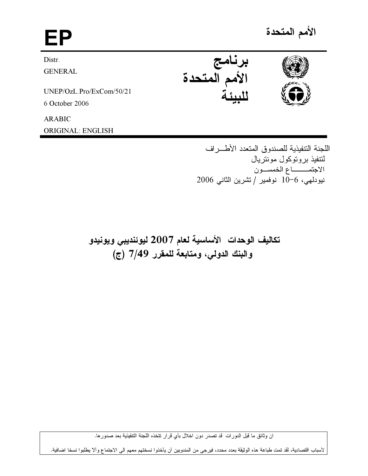# الأمم المتحدة EP برنامج<br>الأمم المتحدة Distr. **GENERAL** UNEP/OzL.Pro/ExCom/50/21 6 October 2006 **ARABIC**

**ORIGINAL: ENGLISH** 

اللجنة التنفيذية للصندوق المتعدد الأطـــر اف لنتفيذ بر وتوكول مونتر يال الاجتمــــاع الخمســون نيودلهي، 6−10 نوفمير /تشرين الثاني 2006

تكاليف الوحدات الأساسية لعام 2007 ليوئنديبي ويونيدو والبنك الدولي، ومتابعة للمقرر 7/49 (ج)

ان وثائق ما قبل الدورات قد تصدر دون اخلال بأي قرار تتخذه اللجنة التنفيذية بعد صدورها.

لأسباب اقتصادية، لقد تمت طباعة هذه الوثيقة بعدد محدد، فيرجى من المندوبين أن يأخذوا نسختهم معهم الى الاجتماع وألا يطلبوا نسخا اضافية.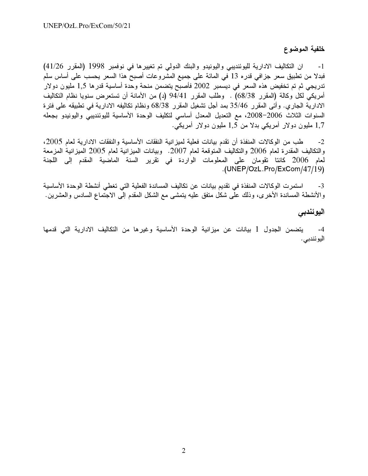### خلفية الموضوع

ان التكاليف الادارية لليوئنديبي واليونيدو والبنك الدولي تم تغييرها في نوفمبر 1998 (المقرر 41/26)  $-1$ فبدلا من تطبيق سعر جزافي قدره 13 في المائة على جميع المشروعات أصبح هذا السعر يحسب على أساس سلم تدريجي ثم تم تخفيض هذه السعر في ديسمبر 2002 فأصبح يتضمن منحة وحدة أساسية قدرها 1,5 مليون دولار أمريكي لكل وكالة (المقرر 68/38) . وطلب المقرر 94/41 (د) من الأمانة أن تستعرض سنويا نظام التكاليف الادارية الجاري. وأتبي المقرر 35/46 بمد أجل تشغيل المقرر 68/38 ونظام تكاليفه الادارية في تطبيقه على فترة السنوات الثلاث 2006–2008، مع التعديل المعدل أساسي لتكليف الوحدة الأساسية لليوئنديبي واليونيدو بجعله 1,7 مليون دولار أمريكي بدلا من 1,5 مليون دولار أمريكي.

طب من الوكالات المنفذة أن نقدم بيانات فعلية لميز انية النفقات الأساسية والنفقات الادارية لعام 2005،  $-2$ والنكاليف المقدرة لعام 2006 والنكاليف المنوقعة لعام 2007. وبيانات الميزانية لعام 2005 الميزانية المزمعة لعام 2006 كانتا تقومان على المعلومات الواردة في تقرير السنة الماضية المقدم إلى اللجنة .(UNEP/OzL.Pro/ExCom/47/19)

استمرت الوكالات المنفذة في تقديم بيانات عن تكاليف المساندة الفعلية التي تغطى أنشطة الوحدة الأساسية  $-3$ والأنشطة المساندة الأخرى، وذلك على شكل متفق عليه يتمشى مع الشكل المقدم إلى الاجتماع السادس والعشرين.

### اليوئندبى

4- يتضمن الجدول 1 بيانات عن ميزانية الوحدة الأساسية وغيرها من التكاليف الادارية التي قدمها اليو ئندبي .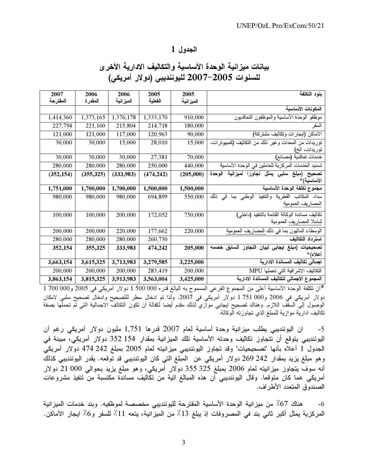# بيانات ميزانية الوحدة الأساسية والتكاليف الادارية الأخرى للسنوات 2005–2007 لليوئنديبي (دولار أمريكي)

| 2007       | 2006       | 2006       | 2005       | 2005       | بنود التكلفة                                                         |
|------------|------------|------------|------------|------------|----------------------------------------------------------------------|
| المفترحة   | المقدرة    | الميز انية | الفعلية    | الميز انية |                                                                      |
|            |            |            |            |            | المكونات الأساسية                                                    |
| 1,414,360  | 1,373,165  | 1,376,178  | 1,333,170  | 910,000    | موظفو الوحدة الأساسية والموظفون التعاقديون                           |
| 227,794    | 221,160    | 215,804    | 214,718    | 180,000    | السفر                                                                |
| 121,000    | 121,000    | 117,000    | 120,963    | 90,000     | الأماكن (ايجارات وتكاليف مشتركة)                                     |
| 30,000     | 30,000     | 15,000     | 28,010     | 15,000     | توريدات من المعدات وغير ذلك من التكاليف (كمبيوترات،<br>توريدات، الخ) |
| 30,000     | 30,000     | 30,000     | 27,381     | 70,000     | خدمات تعاقدية (مصانع)                                                |
| 280,000    | 280,000    | 280,000    | 250,000    | 440,000    | تسديد الخدمات المركزية للعاملين في الوحدة الأساسية                   |
| (352, 154) | (355, 325) | (333, 983) | (474, 242) | (205,000)  | تصحيح (مبلغ سلبي يمثل تجاوزا<br>لمبز انبة<br>الوحدة<br>الأساسية)*    |
| 1,751,000  | 1,700,000  | 1,700,000  | 1,500,000  | 1,500,000  | مجموع تكلفة الوحدة الأساسية                                          |
| 980,000    | 980,000    | 980,000    | 694,899    | 550,000    | سداد المكاتب القطرية والتنفيذ<br>ذلك<br>الوطني بما في                |
|            |            |            |            |            | المصاريف العمومية                                                    |
| 100,000    | 100,000    | 200,000    | 172,052    | 750,000    | تكاليف مساندة الوكالة القائمة بالتنفيذ (داخلي)                       |
|            |            |            |            |            | شاملا المصاريف العمومية                                              |
| 200,000    | 200,000    | 220,000    | 177,662    | 220,000    | الوسطاء الماليون بما في ذلك المصاريف العمومية                        |
| 280,000    | 280,000    | 280,000    | 260,730    |            | استرداد التكاليف                                                     |
| 352,154    | 355,325    | 333,983    | 474,242    | 205,000    | التجاوز السابق خصمه<br>(مبلغ ايجابي لبيان<br>تصحيحيات<br>أعلاه) *    |
| 3,663,154  | 3,615,325  | 3,713,983  | 3,279,585  | 3,225,000  | اجمالى تكاليف المساندة الادارية                                      |
| 200,000    | 200,000    | 200,000    | 283,419    | 200,000    | التكاليف الاشر افية التي تحملها MPU                                  |
| 3,863,154  | 3,815,325  | 3,913,983  | 3,563,004  | 3,425,000  | المجموع الاجمالي لتكاليف المساندة الادارية                           |

\*ان نكلفة الوحدة الأساسية أعلى من المجموع الفرعي المسموح به البالغ قدره 000 500 1 دولار أمريكي في 2005 و700 000 1 دولار أمريكي في 2006 و200 1 751 دولار أمريكي في 2007. ولذا تم ادخال سطر للتصحيح وادخال تصحيح سلبي لامكان<br>الوصول إلى السقف اللازم. وهناك تصحيح ايجابي موازي لذلك مقدم أيضا لكفالة أن تكون النكالف الاجمالية التي تم تحملها بصف تكاليف ادارية موازية للمبلغ الذي تجاوزته الوكالة.

ان اليوئنديبي يطلب ميزانية وحدة أساسية لمعام 2007 قدرها 1٬751 مليون دولار أمريكي رغم أن  $-5$ اليوئنديبي يتوقع أن تتجاوز تكاليف وحدته الأساسية تلك الميزانية بمقدار 154 352 دولار أمريكي، مبينة في الجدول 1 أعلاه بأنها "تصحيحيات" وقد تجاوز اليوئنديبي ميزانيته لعام 2005 بمبلغ 242 474 دولار أمريكي وهو مبلغ يزيد بمقدار 242 269 دولار أمريكي عن المبلغ التي كان اليوئنديبي قد توقعه. يقدر اليوئنديبي كذلك أنه سوف يتجاوز ميزانيته لعام 2006 بمبلغ 325 325 دولار أمريكي، وهو مبلغ يزيد بحوالي 000 21 دولار أمريكي عما كان متوقعا. وقال اليوئنديبي أن هذه المبالغ آنية من تكاليف مساندة مكتسبة من تنفيذ مشروعات الصندوق المتعدد الأطر اف.

هناك 67٪ من ميزانية الوحدة الأساسية المقترحة لليوئنديبي مخصصة لموظفيه. وبند خدمات الميزانية  $-6$ المركزية يمثل أكبر ثاني بند في المصروفات إذ يبلغ 13٪ من الميزانية، يتعه 11٪ للسفر و6٪ ايجار الأماكن.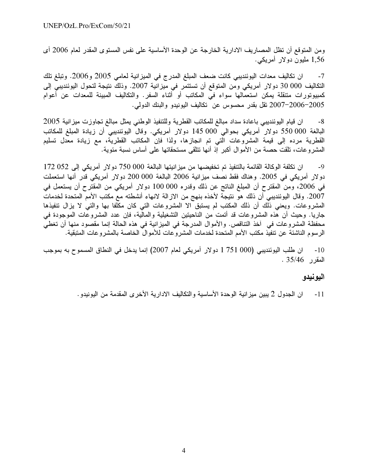ومن المتوقع أن تظل المصاريف الادارية الخارجة عن الوحدة الأساسية على نفس المستوى المقدر لعام 2006 أي 1,56 مليون دولار أمريكي.

ان تكاليف معدات اليوئنديبي كانت ضعف المبلغ المدرج في الميز انية لعامي 2005 و2006. وتبلغ تلك  $-7$ التكاليف 000 30 دولار أمريكي ومن المتوقع أن تستتمر في ميزانية 2007. وذلك نتيجة لتحول اليوئنديبي إلى كمبيوتورات متنقلة يمكن استعمالها سواء في المكاتب أو أثناء السفر. والتكاليف المبينة للمعدات عن أعوام 2005–2006–2007 نقل بقدر محسوس عن نكاليف اليونيدو والبنك الدولمي.

ان قيام اليوئنديبي باعادة سداد مبالغ للمكاتب القطرية وللتنفيذ الوطنبي يمثل مبالغ تجاوزت ميزانية 2005  $-8$ البالغة 000 550 دولار أمريكي بحوالي 000 145 دولار أمريكي. وقال اليوئنديبي أن زيادة المبلغ للمكاتب القطرية مرده إلى قيمة المشروعات الَّتى تم انجازها، ولذا فإنَّ المكاتب القطريَّة، مع زيادة معَّدل تسليم المشروعات، تلقت حصـة من الأموال أكبر إذ أنها تتلقى مستحقاتها على أساس نسبة مئوية.

ان تكلفة الوكالة القائمة بالتنفيذ تم تخفيضها من ميز انيتها البالغة 000 750 دولار أمريكي إلى 052 172  $-9$ دولار أمريكي في 2005. وهناك فقط نصف ميزانية 2006 البالغة 000 000 دولار أمريكي قدر أنها استعملت في 2006، ومن المقترح أن المبلغ الناتج عن ذلك وقدره 000 100 دولار أمريكي من المقترح أن يستعمل في 2007. وقال اليوئنديبي أن ذلك هو نتيجة لأخذه بنهج من الازالة لانهاء أنشطته مع مكتب الأمم المتحدة لخدمات المشروعات. ويعني ذُلُّك أن ذلك المكتب لم يستبق الا المشروعات التي كان مكَّلفا بها والتي لا يزال نتفيذها جاريا. وحيث أن هذه المشروعات قد أتمت من الناحيتين التشغيلية والمالية، فإن عدد المشروعات الموجودة في محفظة المشروعات في آخذ التناقص. والأموال المدرجة في الميزانية في هذه الحالة إنما مقصود منها أن تغطي الرسوم الناشئة عن تنفيذ مكتب الأمم المتحدة لخدمات المشروعات للأموال الخاصة بالمشروعات المتبقية.

ان طلب اليوئنديبي (000 751 10 دولار أمريكي لعام 2007) إنما يدخل في النطاق المسموح به بموجب  $-10$ المقرر 35/46 .

### اليونيدو

ان الجدول 2 يبين ميز انية الوحدة الأساسية والتكاليف الادارية الأخرى المقدمة من اليونيدو .  $-11$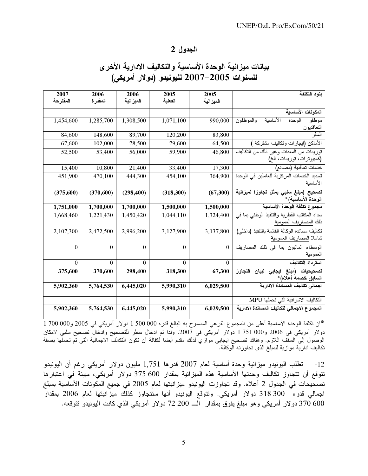# بيانات ميزانية الوحدة الأساسية والتكاليف الادارية الأخرى للسنوات 2005–2007 لليونيدو (دولار أمريكي)

| 2007             | 2006             | 2006       | 2005<br>الفعلية  | 2005         | بنود التكلفة                                                         |
|------------------|------------------|------------|------------------|--------------|----------------------------------------------------------------------|
| المفترحة         | المقدرة          | الميز انية |                  | الميز انية   |                                                                      |
|                  |                  |            |                  |              | المكونات الأساسية                                                    |
| 1,454,600        | 1,285,700        | 1,308,500  | 1,071,100        | 990,000      | الأساسية<br>والموظفون<br>الوحدة<br>موظفو<br>التعاقديون               |
| 84,600           | 148,600          | 89,700     | 120,200          | 83,800       | السفر                                                                |
| 67,600           | 102,000          | 78,500     | 79,600           | 64,500       | الأماكن (ايجارات وتكاليف مشتركة                                      |
| 52,500           | 53,400           | 56,000     | 59,900           | 46,800       | توريدات من المعدات وغير ذلك من التكاليف<br>(كمبيوترات، توريدات، الخ) |
| 15,400           | 10,800           | 21,400     | 33,400           | 17,300       | خدمات تعاقدية (مصانع)                                                |
| 451,900          | 470,100          | 444,300    | 454,100          | 364,900      | تسديد الخدمات المركزية للعاملين في الوحدة<br>الأساسية                |
| (375,600)        | (370, 600)       | (298, 400) | (318, 300)       | (67,300)     | تصحيح (مبلغ سلبي يمثل تجاوزا لميزانية<br>الوحدة الأساسية)*           |
| 1,751,000        | 1,700,000        | 1,700,000  | 1,500,000        | 1,500,000    | مجموع تكلفة الوحدة الأساسية                                          |
| 1,668,460        | 1,221,430        | 1,450,420  | 1,044,110        | 1,324,400    | سداد المكاتب القطرية والتنفيذ الوطني بما في                          |
|                  |                  |            |                  |              | ذلك المصاريف العمومية                                                |
| 2,107,300        | 2,472,500        | 2,996,200  | 3,127,900        | 3,137,800    | تكاليف مساندة الوكالة القائمة بالتنفيذ (داخلي)                       |
|                  |                  |            |                  |              | شاملا المصاريف العمومية                                              |
| $\boldsymbol{0}$ | $\boldsymbol{0}$ | $\bf{0}$   | $\boldsymbol{0}$ | $\mathbf{0}$ | الوسطاء الماليون بما في ذلك المصاريف<br>العمومية                     |
| $\theta$         | $\theta$         | $\Omega$   | $\overline{0}$   | $\Omega$     | استر داد التكاليف                                                    |
| 375,600          | 370,600          | 298,400    | 318,300          | 67,300       |                                                                      |
|                  |                  |            |                  |              | تصحيحيات (مبلغ ايجابى لبيان التجاوز<br>السابق خصمه أعلاه)*           |
| 5,902,360        | 5,764,530        | 6,445,020  | 5,990,310        | 6,029,500    | اجمالى تكاليف المساندة الادارية                                      |
|                  |                  |            |                  |              | التكاليف الاشر افية التي تحملها MPU                                  |
| 5,902,360        | 5,764,530        | 6,445,020  | 5,990,310        | 6,029,500    | المجموع الاجمالي لتكاليف المساندة الادارية                           |

\*ان نكلفة الوحدة الأساسية أعلى من المجموع الفرعي المسموح به البالغ قدره 000 000 1 دولار أمريكي في 2005 و 700 000 1 1 دولار أمريكي في 2006 و300 1 751 دولار أمريكي في 2007. ولذا تم ادخال سطر للتصحيح وادخال تصحيح سلبي لامكان<br>الوصول إلى السقف اللازم. وهناك تصحيح ايجابي موازي لذلك مقدم أيضا لكفالة أن تكون التكالف الاجمالية التي تم تحملها بصف تكاليف ادارية موازية للمبلغ الذي تجاوزته آلوكالة.

12- تطلب اليونيدو ميزانية وحدة أساسية لعام 2007 قدرها 1,751 مليون دولار أمريكي رغم أن اليونيدو تتوقع أن تتجاوز تكاليف وحدتها الأساسية هذه الميزانية بمقدار 600 375 دولار أمريكي، مبينة في اعتبارها تصحيحات في الجدول 2 أعلاه. وقد تجاوزت اليونيدو ميزانيتها لعام 2005 في جميع المكونات الأساسية بمبلغ اجمالي قدره 300 318 دولار أمريكي. ونتوقع اليونيدو أنها ستتجاوز كذلك ميزانيتها لعام 2006 بمقدار 600 370 دولار أمريكي وهو مبلغ يفوق بمقدار الـــ 200 72 دولار أمريكي الذي كانت اليونيدو تتوقعه.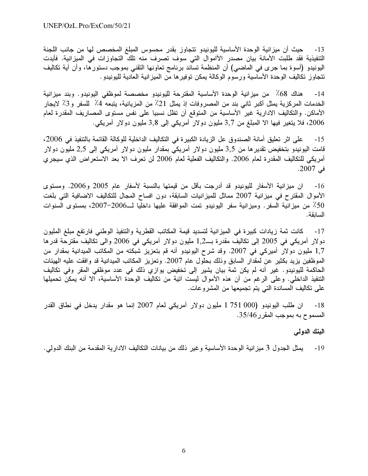حيث أن ميز انية الوحدة الأساسية لليونيدو تتجاوز بقدر محسوس المبلغ المخصص لها من جانب اللجنة  $-13$ التنفيذية فقد طلبت الأمانة بيان مصدر الأاموال التي سوف تصرف منه تلك التجاوزات في الميزانية. فأيدت اليونيدو (أسوة بما جرى في الماضـي) أن المنظمة تساند برنامج تعاونـها التقنـي بموجب دستورها، وأن أية تكاليف نتجاوز نكاليف الوحدة الأساسية ورسوم الوكالة يمكن توفيرها من الميزانية العادية لليونيدو .

هناك 68٪ من ميزانية الوحدة الأساسية المقترحة لليونيدو مخصصة لموظفي اليونيدو. وبند ميزانية  $-14$ الخدمات المركزية يمثل أكبر ثاني بند من المصروفات إذ يمثل 21٪ من المزيانية، يتبعه 4٪ للسفر و3٪ لايجار الأماكن. والتكاليف الادارية غير الأساسية من المتوقع أن تظل نسبيا على نفس مستوى المصاريف المقدرة لعام 2006، فلا يتغير فيها الا الممبلغ من 3٫7 مليون دولار أمريكي إلى 3٫8 مليون دولار أمريكي.

على اثر تعليق أمانة الصندوق عل الزيادة الكبيرة في التكاليف الداخلية للوكالة القائمة بالتنفيذ في 2006،  $-15$ قامت الیونیدو بتخفیض تقدیر ها من 3٫5 ملیون دولار أمریکی بمقدار ملیون دولار أمریکی إلی 2٫5 ملیون دولار أمريكي للتكاليف المقدرة لعام 2006. والتكاليف الفعلية لعام 2006 لن تعرف الا بعد الاستعراض الذي سيجرى في 2007.

ان ميزانية الأسفار لليونيدو قد أدرجت بأقل من قيمتها بالنسبة لأسفار عام 2005 و2006. ومستوى  $-16$ الأموال المقترح في ميزانية 2007 مماثل للميزانيات السابقة، دون افساح المجال للتكاليف الاضافية التي بلغت 50٪ من ميزانية السفر. وميزانية سفر اليونيدو تمت الموافقة عليها داخليا لــ2006–2007، بمستوى السنوات السابقة.

كانت ثمة زيادات كبيرة في الميزانية لتسديد قيمة المكاتب القطرية والتنفيذ الوطني فارتفع مبلغ المليون  $-17$ دولار أمريكي في 2005 إلى تكاليف مقدرة بــ1٫2 مليون دولار أمريكي في 2006 والى تكاليف مقترحة قدرها 1,7 مليون دولار أميركي في 2007. وقد شرح اليونيدو أنه قم بتعزيز شبكته من المكاتب الميدانية بمقدار من الموظفين يزيد بكثير عن لمقدار السابق وذلك بحلول عام 2007. وتعزيز المكاتب الميدانية قد وافقت عليه الهيئات الحاكمة لليونيدو . غير أنه لم يكن ثمة بيان يشير إلى تخفيض يوازي ذلك في عدد موظفي المقر وفي تكاليف التنفيذ الداخلي. وعلى الرغم من أن هذه الأموال ليست آتية من تكاليف الوحدة الأساسية، الا أنه يمكن تحميلها على تكاليف المساندة التي يتم تجميعها من المشروعات.

ان طلب اليونيدو (000 751 1 مليون دولار أمريكي لعام 2007 إنما هو مقدار يدخل في نطاق القدر  $-18$ المسموح به بموجب المقرر 35/46.

البنك الدولي

يمثل الجدول 3 ميز انية الوحدة الأساسية وغير ذلك من بيانات التكاليف الادارية المقدمة من البنك الدولي. -19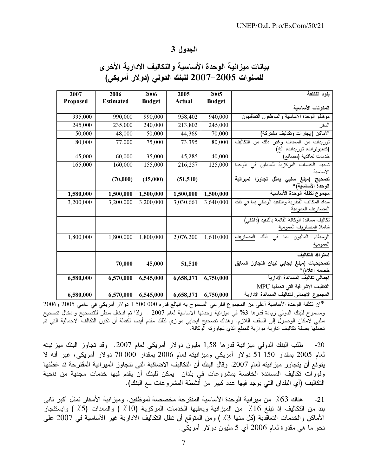## بيانات ميزانية الوحدة الأساسية والتكاليف الادارية الأخرى للسنوات 2005–2007 للبنك الدولي (دولار أمريكي)

| 2007      | 2006             | 2006          | 2005      | 2005          | بنود التكلفة                                           |
|-----------|------------------|---------------|-----------|---------------|--------------------------------------------------------|
| Proposed  | <b>Estimated</b> | <b>Budget</b> | Actual    | <b>Budget</b> |                                                        |
|           |                  |               |           |               | المكونات الأساسية                                      |
| 995,000   | 990,000          | 990,000       | 958,402   | 940,000       | موظفو الوحدة الأساسية والموظفون التعاقديون             |
| 245,000   | 235,000          | 240,000       | 213,802   | 245,000       | السفر                                                  |
| 50,000    | 48,000           | 50,000        | 44,369    | 70,000        | الأماكن (ايجارات وتكاليف مشتركة)                       |
| 80,000    | 77,000           | 75,000        | 73,395    | 80,000        | التكاليف<br>توريدات من المعدات وغير ذلك من             |
|           |                  |               |           |               | (كمبيوترات، توريدات، الخ)                              |
| 45,000    | 60,000           | 35,000        | 45,285    | 40,000        | خدمات تعاقدية (مصانع)                                  |
| 165,000   | 160,000          | 155,000       | 216,257   | 125,000       | تسديد الخدمات المركزية للعاملين ف <i>ي</i><br>الو حدة  |
|           |                  |               |           |               | الأساسية                                               |
|           | (70,000)         | (45,000)      | (51, 510) |               | (مبلغ سلبي يمثل تجاوزا لميزانية<br>تصنيح               |
|           |                  |               |           |               | الوحدة الأساسية)*                                      |
| 1,580,000 | 1,500,000        | 1,500,000     | 1,500,000 | 1,500,000     | مجموع تكلفة الوحدة الأساسية                            |
| 3,200,000 | 3,200,000        | 3,200,000     | 3,030,661 | 3,640,000     | سداد المكاتب القطرية والتنفيذ الوطني بما في ذلك        |
|           |                  |               |           |               | المصاريف العمومية                                      |
|           |                  |               |           |               | تكاليف مساندة الوكالة القائمة بالتنفيذ (داخلي)         |
|           |                  |               |           |               | شاملا المصاريف العمومية                                |
| 1,800,000 | 1,800,000        | 1,800,000     | 2,076,200 | 1,610,000     | ذلك<br>الماليون ب <i>م</i> ا في<br>الوسطاء<br>المصاريف |
|           |                  |               |           |               | العمومية                                               |
|           |                  |               |           |               | استرداد التكاليف                                       |
|           | 70,000           | 45,000        | 51,510    |               | تصحيحيات (مبلغ ايجابي لبيان النجاوز السابق             |
|           |                  |               |           |               | خصمه أعلاه)*                                           |
| 6,580,000 | 6,570,000        | 6,545,000     | 6,658,371 | 6,750,000     | اجمالي تكاليف المساندة الادارية                        |
|           |                  |               |           |               | التكاليف الاشر افية التي تحملها MPU                    |
| 6,580,000 | 6,570,000        | 6,545,000     | 6,658,371 | 6,750,000     | المجموع الاجمالي لتكاليف المساندة الادارية             |

\*ان نكلفة الوحدة الأساسية أعلى من المجموع الفرعي المسموح به البالغ قدره 000 500 1 دولار أمريكي في عامي 2005 و2006 ومسموح للبنك الدولي زيادة قدرها 3% في ميزانية وحدتها الأساسية لعام 2007 . ولذا تم ادخال سطر للتصحيح وادخال تصحيح سلبي لامكان الوصول إلى السقف اللازم. وهناك نصحيح ايجابي موازي لذلك مقدم أيضا لكفالة أن نكون النكالف الاجمالية التي تم تحملها بصفة تكاليف ادارية موازية للمبلغ الذي تجاوزته الوكالة.

طلب البنك الدولمي ميزانية قدرها 1,58 مليون دولار أمريكي لعام 2007. وقد تجاوز البنك ميزانيته  $-20$ لعام 2005 بمقدار 150 51 دولار أمريكي وميزانيته لعام 2006 بمقدار 000 70 دولار أمريكي، غير أنه لا يتوقع أن يتجاوز ميزانيته لعام 2007. وقال البنك أن التكاليف الاضافية التي تتجاوز الميزانية المقترحة قد غطتها وفورات تكاليف المساندة الخاصة بمشروعات في بلدان يمكن للبنك أن يقدم فيها خدمات مجدية من ناحية التكاليف (أي البلدان التبي يوجد فيها عدد كبير من أنشطة المشروعات مع البنك).

هناك 63٪ من ميز انية الوحدة الأساسية المقترحة مخصصة لموظفين. وميز انية الأسفار تمثل أكبر ثاني  $-21$ بند من التكاليف إذ تبلغ 16٪ من الميزانية ويعقبها الخدمات المركزية (10٪ ) والمعدات (5٪ ) وايستئجار الأماكن والخدمات التعاقدية (كل منها 3٪ ) ومن المتوقع أن تظل التكاليف الادارية غير الأساسية في 2007 على نحو ما هي مقدرة لعام 2006 أي 5 مليون دولار أمريكي.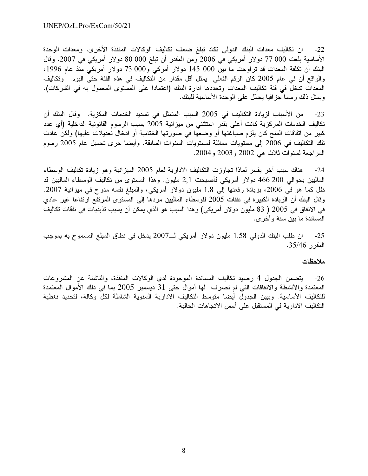ان تكاليف معدات البنك الدولي تكاد تبلغ ضعف تكاليف الوكالات المنفذة الأخرى. ومعدات الوحدة  $-22$ الأساسية بلغت 000 77 دولار أمريكي في 2006 ومن المقدر أن تبلغ 000 00 دولار أمريكي في 2007. وقال البنك أن نكلفة المعدات قد تراوحت ما بين 000 145 دولار أمركي و000 73 دولار أمريكي منذ عام 1996، والواقع أن في عام 2005 كان الرقم الفعلي يمثل أقل مقدار من التكاليف في هذه الفئة حتى اليوم. وتكاليف المعدات تدخل في فئة تكاليف المعدات وتحددها ادارة البنك (اعتمادا على المستوى المعمول به في الشركات). ويمثل ذلك رسما جزافيا يحمّل على الوحدة الأساسية للبنك.

من الأسباب لزيادة التكاليف في 2005 السبب المتمثل في تسديد الخدمات المكزية. وقال البنك أن  $-23$ تكاليف الخدمات المركزية كانت أعلى بقدر استثنئي من ميزانية 2005 بسبب الرسوم القانونية الداخلية (أي عدد كبير من اتفاقات المنح كان يلزم صياغتها أو وضعها في صورتها الختامية أو ادخال تعديلات عليها) ولكن عادت نلك التكاليف في 2006 إلى مستويات مماثلة لمستويات السنوات السابقة. وأيضـا جرى تـحميل عام 2005 رسوم المر اجعة لسنوات ثلاث هي 2002 و2003 و2004.

هناك سبب أخر يفسر لماذا تجاوزت التكاليف الادارية لعام 2005 الميزانية وهو زيادة تكاليف الوسطاء -24 الماليين بحوالي 200 466 دولار أمريكي فأصبحت 2٫1 مليون. وهذا المستوى من تكاليف الوسطاء الماليين قد ظل كما هو في 2006، بزيادة رفعتها إلى 1٫8 مليون دولار أمريكي، والمبلغ نفسه مدرج في ميزانية 2007. وقال البنك أن الزيادة الكبيرة في نفقات 2005 للوسطاء الماليين مردها إلى المستوى المرتفع ارتفاعا غير عادي في الانفاق في 2005 ( 83 مليون دولار أمريكي) وهذا السبب هو الذي يمكن أن يسبب تذبذبات في نفقات تكاليف المساندة ما بين سنة وأخرى.

25- ان طلب البنك الدولمي 1,58 مليون دولار أمريكي لــ2007 يدخل في نطاق المبلغ المسموح به بموجب المقرر 35/46.

#### ملاحظات

26- يتضمن الجدول 4 رصيد تكاليف المساندة الموجودة لدى الوكالات المنفذة، والناشئة عن المشروعات المعتمدة والأنشطة والاتفاقات التي لم تصرف لمها أموال حتى 31 ديسمبر 2005 بما في ذلك الأموال المعتمدة للتكاليف الأساسية. ويبين الجدول أيضا متوسط التكاليف الادارية السنوية الشاملة لكلّ وكالة، لتحديد نغطية التكاليف الادارية في المستقبل على أسس الاتجاهات الحالية.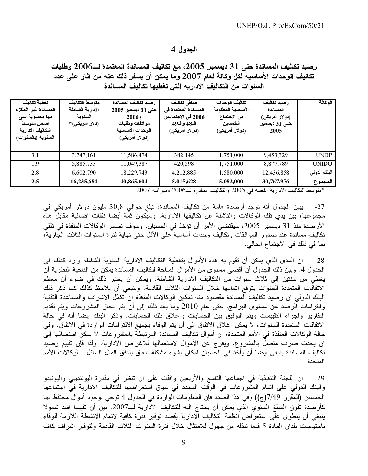رصيد تكاليف المساندة حتى 31 ديسمبر 2005، مع تكاليف المساندة المعتمدة لــ2006 وطلبات تكاليف الوحدات الأساسية لكل وكالة لعام 2007 وما يمكن أن يسفر ذلك عنه من آثار على عدد السنوات من التكاليف الادارية التي تغطيها تكاليف المساندة

| تغطبة تكالبف<br>المساندة غير الملتزم<br>بها محسوبة على<br>أساس متوسط<br>التكاليف الادارية<br>السنوية (بالسنوات) | متوسط التكاليف<br>الادارية الشاملة<br>السنوية<br>(دلار أمريكي)* | رصيد تكاليف المساندة<br>حتى 31 ديسمبر 2005<br><b>2006</b> ء<br>موافقات وطلبات<br>الوحدات الأساسية<br>(دو لار أمريكي) | صافى تكاليف<br>المساندة المعتمدة في<br>2006 في الاجتماعين<br>الـ48 و الـ49<br>(دولار أمريكي) | تكاليف الوحدات<br>الأساسية المطلوبة<br>من الاجتماع<br>الخمسين<br>(دولار أمريكي) | ر صبد تكاليف<br>المساندة<br>(دو لار أمريكي)<br>حتى 31 ديسمبر<br>2005 | الوكالة      |
|-----------------------------------------------------------------------------------------------------------------|-----------------------------------------------------------------|----------------------------------------------------------------------------------------------------------------------|----------------------------------------------------------------------------------------------|---------------------------------------------------------------------------------|----------------------------------------------------------------------|--------------|
| 3.1                                                                                                             | 3,747,161                                                       | 11,586,474                                                                                                           | 382,145                                                                                      | 1,751,000                                                                       | 9,453,329                                                            | <b>UNDP</b>  |
| 1.9                                                                                                             | 5,885,733                                                       | 11,049,387                                                                                                           | 420,598                                                                                      | 1,751,000                                                                       | 8,877,789                                                            | <b>UNIDO</b> |
| 2.8                                                                                                             | 6,602,790                                                       | 18,229,743                                                                                                           | 4,212,885                                                                                    | 1,580,000                                                                       | 12,436,858                                                           | البنك الدولي |
| 2.5                                                                                                             | 16,235,684                                                      | 40,865,604                                                                                                           | 5,015,628                                                                                    | 5,082,000                                                                       | 30,767,976                                                           | المجموع      |

\*منوسط النكاليف الادارية الفعلية في 2005 والنكاليف المقدرة لــ2006 وميزانية 2007.

يبين الجدول أنه توجد أرصدة هامة من تكاليف المساندة، تبلغ حوالي 30٫8 مليون دولار أمريكي في  $-27$ مجموعها، بين يدي تلك الوكالات والناشئة عن تكاليفها الادارية. وسيكون ثمة أيضا نفقات اضافية مقابل هذه الأرصدة منذ 31 ديسمبر 2005، سيقتضي الأمر أن تؤخذ في الحسبان. وسوف تستمر الوكالات المنفذة في تلقى تكاليف مساندة عند صدور الموافقات وتكاليف وحدات أساسية على الأقل حتى نهاية فترة السنوات الثلاث الجارية، بما في ذلك في الاجتماع الحالي.

ان المدى الذى يمكن أن تقوم به هذه الأموال بتغطية التكاليف الادارية السنوية الشاملة وارد كذلك في  $-28$ الجدول 4. ويبن ذلك الجدول أن أقصـي مستوى من الأموال المتاحة لتكاليف المساندة يمكن من الناحية النظرية أن يغطي من سنتين إلى ثلاث سنوات من التكاليف الادارية الشاملة. ويمكن أن يعتبر ذلك في ضوء أن معظم الاتفاقات المتعددة السنوات يتوقع اتمامها خلال السنوات الثلاث القادمة. وينبغي أن يلاحظ كذلك كما ذكر ذلك البنك الدولي أن رصيد تكاليف المساندة مقصود منه تمكين الوكالات المنفذة أن تكمّل الاشراف والمساعدة التقنية والنَّزامات الرصد عن مستوى البرامج، حتى عام 2010 وما بعد ذلك إلى أن يتم انجاز المشروعات ويتم تقديم التقارير واجراء التقييمات ويتم التوفيق بين الحسابات واغلاق تلك الحسابات. وذكر البنك أيضا أنه في حالة الاتفاقات المتعددة السنوات، لا يمكن اغلاق الاتفاق إلى أن يتم الوفاء بجميع الالتزامات الواردة في الاتفاق. وفي حالة الوكالات المنفذة في الأمم المتحدة، ان أموال تكاليف المساندة المرتبطة بالمشروعات لا يمكن استعمالها إلى أن يحدث صرف متصل بالمشروع، ويفرج عن الأموال لاستعمالها للأغراض الادارية. ولذا فإن تقييم رصيد تكاليف المساندة ينبغي أيضا أن يأخذ في الحسبان امكان نشوء مشكلة تتعلق بتدفق المال السائل لوكالات الأمم المتحدة.

ان اللجنة التنفيذية في اجماعها التاسع والأربعين وافقت على أن تنظر في مقدرة اليوئنديبي واليونيدو  $-29$ والبنك الدولي على اتمام المشروعات في الوقت المحدد في سياق استعراضها للتكاليف الادارية في اجتماعها الخمسين (المقرر 7/49(ج)) وفي هذا الصدد فإن المعلومات الواردة في الجدول 4 توحي بوجود أموال محتفظ بها كأرصدة تفوق المبلغ السنوي الذي يمكن أن يحتاج اليه للتكاليف الادارية لــ2007. بين أن تقييما أشد شمولا ينبغي أن ينطوى على استعراض انظمة التكاليف الادارية بقصد توفير قدرة كافية لاتمام الأنشطة اللازمة للوفاء باحتياجات بلدان المادة 5 فيما تبذله من جهول للامتثال خلال فترة السنوات الثلاث القادمة ولتوفير اشراف كاف